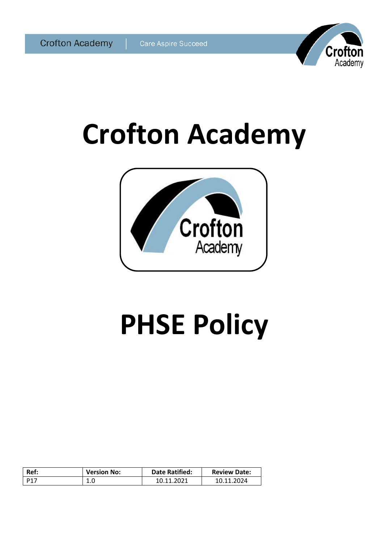

# **Crofton Academy**



# **PHSE Policy**

| Ref:            | <b>Version No:</b> | <b>Date Ratified:</b> | <b>Review Date:</b> |
|-----------------|--------------------|-----------------------|---------------------|
| D <sub>17</sub> | T.N                | 10.11.2021            | 10.11.2024          |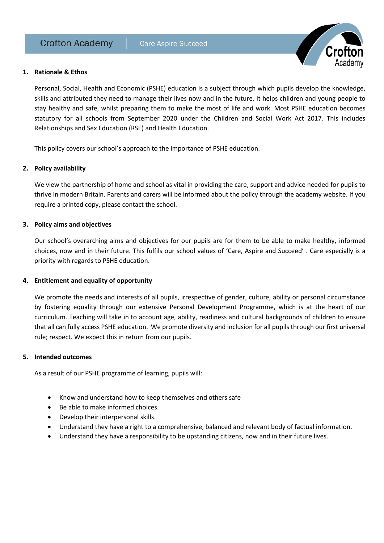

#### **1. Rationale & Ethos**

Personal, Social, Health and Economic (PSHE) education is a subject through which pupils develop the knowledge, skills and attributed they need to manage their lives now and in the future. It helps children and young people to stay healthy and safe, whilst preparing them to make the most of life and work. Most PSHE education becomes statutory for all schools from September 2020 under the Children and Social Work Act 2017. This includes Relationships and Sex Education (RSE) and Health Education.

This policy covers our school's approach to the importance of PSHE education.

## **2. Policy availability**

We view the partnership of home and school as vital in providing the care, support and advice needed for pupils to thrive in modern Britain. Parents and carers will be informed about the policy through the academy website. If you require a printed copy, please contact the school.

#### **3. Policy aims and objectives**

Our school's overarching aims and objectives for our pupils are for them to be able to make healthy, informed choices, now and in their future. This fulfils our school values of 'Care, Aspire and Succeed' . Care especially is a priority with regards to PSHE education.

#### **4. Entitlement and equality of opportunity**

We promote the needs and interests of all pupils, irrespective of gender, culture, ability or personal circumstance by fostering equality through our extensive Personal Development Programme, which is at the heart of our curriculum. Teaching will take in to account age, ability, readiness and cultural backgrounds of children to ensure that all can fully access PSHE education. We promote diversity and inclusion for all pupils through our first universal rule; respect. We expect this in return from our pupils.

#### **5. Intended outcomes**

As a result of our PSHE programme of learning, pupils will:

- Know and understand how to keep themselves and others safe
- Be able to make informed choices.
- Develop their interpersonal skills.
- Understand they have a right to a comprehensive, balanced and relevant body of factual information.
- Understand they have a responsibility to be upstanding citizens, now and in their future lives.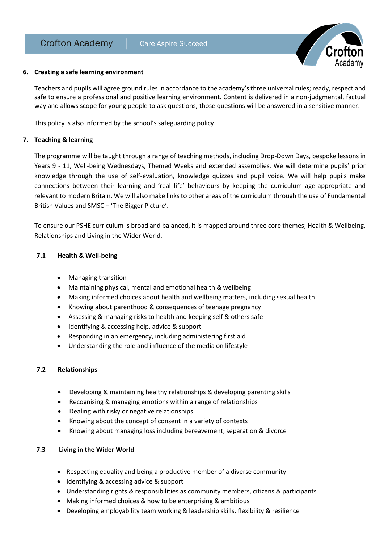

## **6. Creating a safe learning environment**

Teachers and pupils will agree ground rules in accordance to the academy's three universal rules; ready, respect and safe to ensure a professional and positive learning environment. Content is delivered in a non-judgmental, factual way and allows scope for young people to ask questions, those questions will be answered in a sensitive manner.

This policy is also informed by the school's safeguarding policy.

## **7. Teaching & learning**

The programme will be taught through a range of teaching methods, including Drop-Down Days, bespoke lessons in Years 9 - 11, Well-being Wednesdays, Themed Weeks and extended assemblies. We will determine pupils' prior knowledge through the use of self-evaluation, knowledge quizzes and pupil voice. We will help pupils make connections between their learning and 'real life' behaviours by keeping the curriculum age-appropriate and relevant to modern Britain. We will also make links to other areas of the curriculum through the use of Fundamental British Values and SMSC – 'The Bigger Picture'.

To ensure our PSHE curriculum is broad and balanced, it is mapped around three core themes; Health & Wellbeing, Relationships and Living in the Wider World.

## **7.1 Health & Well-being**

- Managing transition
- Maintaining physical, mental and emotional health & wellbeing
- Making informed choices about health and wellbeing matters, including sexual health
- Knowing about parenthood & consequences of teenage pregnancy
- Assessing & managing risks to health and keeping self & others safe
- Identifying & accessing help, advice & support
- Responding in an emergency, including administering first aid
- Understanding the role and influence of the media on lifestyle

## **7.2 Relationships**

- Developing & maintaining healthy relationships & developing parenting skills
- Recognising & managing emotions within a range of relationships
- Dealing with risky or negative relationships
- Knowing about the concept of consent in a variety of contexts
- Knowing about managing loss including bereavement, separation & divorce

## **7.3 Living in the Wider World**

- Respecting equality and being a productive member of a diverse community
- Identifying & accessing advice & support
- Understanding rights & responsibilities as community members, citizens & participants
- Making informed choices & how to be enterprising & ambitious
- Developing employability team working & leadership skills, flexibility & resilience